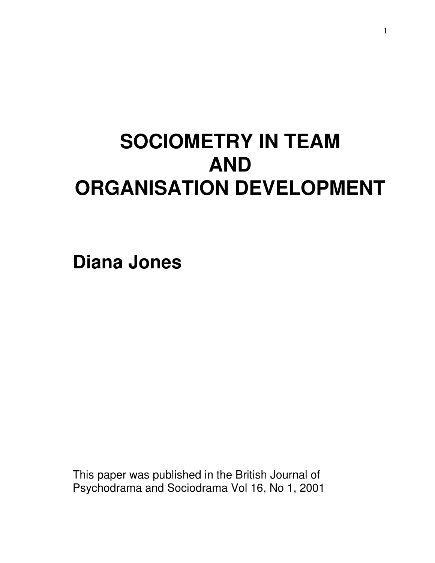# **SOCIOMETRY IN TEAM AND ORGANISATION DEVELOPMENT**

**Diana Jones** 

This paper was published in the British Journal of Psychodrama and Sociodrama Vol 16, No 1, 2001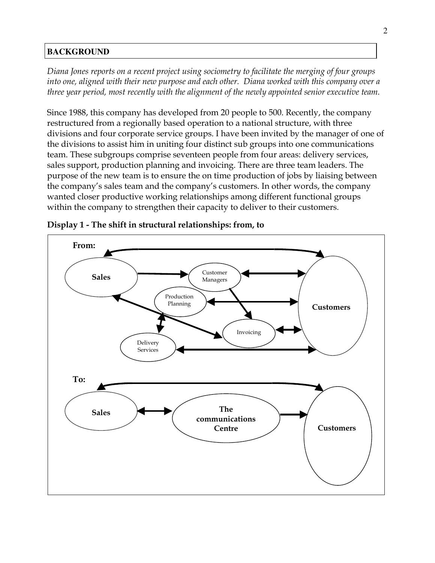### **BACKGROUND**

Diana Jones reports on a recent project using sociometry to facilitate the merging of four groups into one, aligned with their new purpose and each other. Diana worked with this company over a three year period, most recently with the alignment of the newly appointed senior executive team.

Since 1988, this company has developed from 20 people to 500. Recently, the company restructured from a regionally based operation to a national structure, with three divisions and four corporate service groups. I have been invited by the manager of one of the divisions to assist him in uniting four distinct sub groups into one communications team. These subgroups comprise seventeen people from four areas: delivery services, sales support, production planning and invoicing. There are three team leaders. The purpose of the new team is to ensure the on time production of jobs by liaising between the company's sales team and the company's customers. In other words, the company wanted closer productive working relationships among different functional groups within the company to strengthen their capacity to deliver to their customers.



Display 1 - The shift in structural relationships: from, to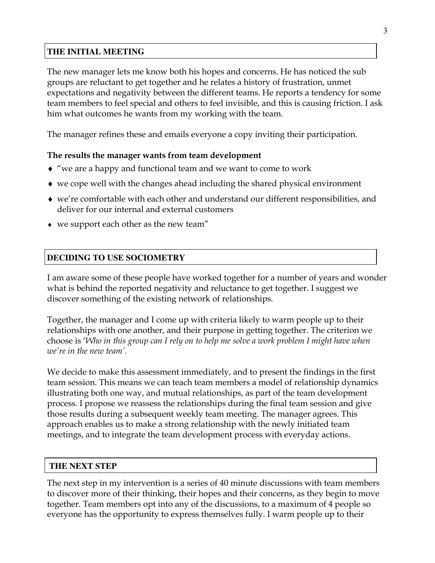#### **THE INITIAL MEETING**

The new manager lets me know both his hopes and concerns. He has noticed the sub groups are reluctant to get together and he relates a history of frustration, unmet expectations and negativity between the different teams. He reports a tendency for some team members to feel special and others to feel invisible, and this is causing friction. I ask him what outcomes he wants from my working with the team.

The manager refines these and emails everyone a copy inviting their participation.

#### The results the manager wants from team development

- ♦ "we are a happy and functional team and we want to come to work
- $\bullet$  we cope well with the changes ahead including the shared physical environment
- ♦ we're comfortable with each other and understand our different responsibilities, and deliver for our internal and external customers
- $\bullet$  we support each other as the new team"

## **DECIDING TO USE SOCIOMETRY**

I am aware some of these people have worked together for a number of years and wonder what is behind the reported negativity and reluctance to get together. I suggest we discover something of the existing network of relationships.

Together, the manager and I come up with criteria likely to warm people up to their relationships with one another, and their purpose in getting together. The criterion we choose is 'Who in this group can I rely on to help me solve a work problem I might have when we're in the new team'.

We decide to make this assessment immediately, and to present the findings in the first team session. This means we can teach team members a model of relationship dynamics illustrating both one way, and mutual relationships, as part of the team development process. I propose we reassess the relationships during the final team session and give those results during a subsequent weekly team meeting. The manager agrees. This approach enables us to make a strong relationship with the newly initiated team meetings, and to integrate the team development process with everyday actions.

#### **THE NEXT STEP**

The next step in my intervention is a series of 40 minute discussions with team members to discover more of their thinking, their hopes and their concerns, as they begin to move together. Team members opt into any of the discussions, to a maximum of 4 people so everyone has the opportunity to express themselves fully. I warm people up to their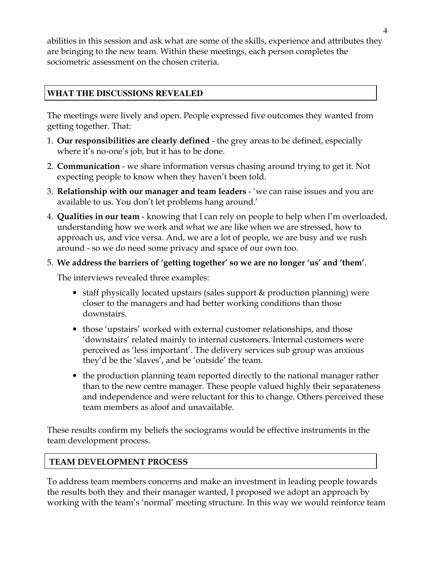abilities in this session and ask what are some of the skills, experience and attributes they are bringing to the new team. Within these meetings, each person completes the sociometric assessment on the chosen criteria.

## **WHAT THE DISCUSSIONS REVEALED**

The meetings were lively and open. People expressed five outcomes they wanted from getting together. That:

- 1. Our responsibilities are clearly defined the grey areas to be defined, especially where it's no-one's job, but it has to be done.
- 2. Communication we share information versus chasing around trying to get it. Not expecting people to know when they haven't been told.
- 3. Relationship with our manager and team leaders 'we can raise issues and you are available to us. You don't let problems hang around.'
- 4. Qualities in our team knowing that I can rely on people to help when I'm overloaded, understanding how we work and what we are like when we are stressed, how to approach us, and vice versa. And, we are a lot of people, we are busy and we rush around - so we do need some privacy and space of our own too.
- 5. We address the barriers of 'getting together' so we are no longer 'us' and 'them'.

The interviews revealed three examples:

- staff physically located upstairs (sales support & production planning) were closer to the managers and had better working conditions than those downstairs.
- those 'upstairs' worked with external customer relationships, and those 'downstairs' related mainly to internal customers. Internal customers were perceived as 'less important'. The delivery services sub group was anxious they'd be the 'slaves', and be 'outside' the team.
- the production planning team reported directly to the national manager rather than to the new centre manager. These people valued highly their separateness and independence and were reluctant for this to change. Others perceived these team members as aloof and unavailable.

These results confirm my beliefs the sociograms would be effective instruments in the team development process.

## TEAM DEVELOPMENT PROCESS

To address team members concerns and make an investment in leading people towards the results both they and their manager wanted, I proposed we adopt an approach by working with the team's 'normal' meeting structure. In this way we would reinforce team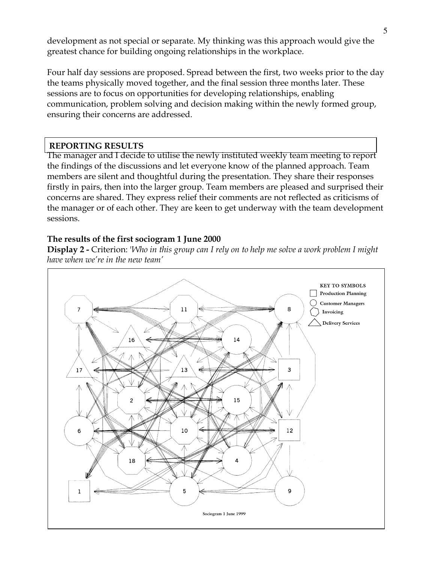development as not special or separate. My thinking was this approach would give the greatest chance for building ongoing relationships in the workplace.

Four half day sessions are proposed. Spread between the first, two weeks prior to the day the teams physically moved together, and the final session three months later. These sessions are to focus on opportunities for developing relationships, enabling communication, problem solving and decision making within the newly formed group, ensuring their concerns are addressed.

#### REPORTING RESULTS

The manager and I decide to utilise the newly instituted weekly team meeting to report the findings of the discussions and let everyone know of the planned approach. Team members are silent and thoughtful during the presentation. They share their responses firstly in pairs, then into the larger group. Team members are pleased and surprised their concerns are shared. They express relief their comments are not reflected as criticisms of the manager or of each other. They are keen to get underway with the team development sessions.

#### The results of the first sociogram 1 June 2000

**Display 2 - Criterion:** 'Who in this group can I rely on to help me solve a work problem I might have when we're in the new team'

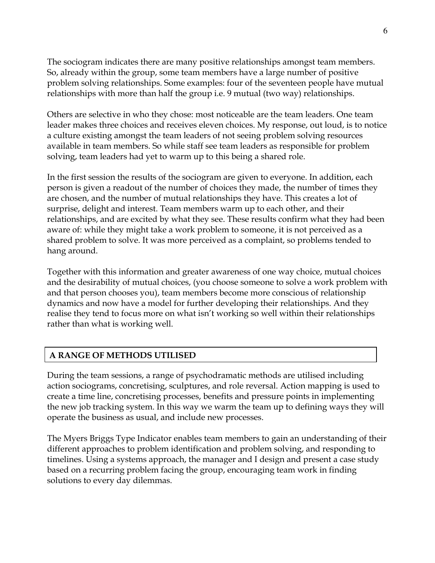The sociogram indicates there are many positive relationships amongst team members. So, already within the group, some team members have a large number of positive problem solving relationships. Some examples: four of the seventeen people have mutual relationships with more than half the group i.e. 9 mutual (two way) relationships.

Others are selective in who they chose: most noticeable are the team leaders. One team leader makes three choices and receives eleven choices. My response, out loud, is to notice a culture existing amongst the team leaders of not seeing problem solving resources available in team members. So while staff see team leaders as responsible for problem solving, team leaders had yet to warm up to this being a shared role.

In the first session the results of the sociogram are given to everyone. In addition, each person is given a readout of the number of choices they made, the number of times they are chosen, and the number of mutual relationships they have. This creates a lot of surprise, delight and interest. Team members warm up to each other, and their relationships, and are excited by what they see. These results confirm what they had been aware of: while they might take a work problem to someone, it is not perceived as a shared problem to solve. It was more perceived as a complaint, so problems tended to hang around.

Together with this information and greater awareness of one way choice, mutual choices and the desirability of mutual choices, (you choose someone to solve a work problem with and that person chooses you), team members become more conscious of relationship dynamics and now have a model for further developing their relationships. And they realise they tend to focus more on what isn't working so well within their relationships rather than what is working well.

## A RANGE OF METHODS UTILISED

During the team sessions, a range of psychodramatic methods are utilised including action sociograms, concretising, sculptures, and role reversal. Action mapping is used to create a time line, concretising processes, benefits and pressure points in implementing the new job tracking system. In this way we warm the team up to defining ways they will operate the business as usual, and include new processes.

The Myers Briggs Type Indicator enables team members to gain an understanding of their different approaches to problem identification and problem solving, and responding to timelines. Using a systems approach, the manager and I design and present a case study based on a recurring problem facing the group, encouraging team work in finding solutions to every day dilemmas.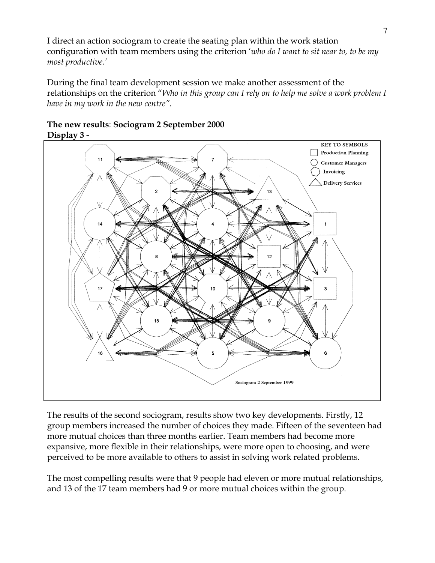I direct an action sociogram to create the seating plan within the work station configuration with team members using the criterion 'who do I want to sit near to, to be my most productive.'

During the final team development session we make another assessment of the relationships on the criterion "Who in this group can I rely on to help me solve a work problem I have in my work in the new centre".





The results of the second sociogram, results show two key developments. Firstly, 12 group members increased the number of choices they made. Fifteen of the seventeen had more mutual choices than three months earlier. Team members had become more expansive, more flexible in their relationships, were more open to choosing, and were perceived to be more available to others to assist in solving work related problems.

The most compelling results were that 9 people had eleven or more mutual relationships, and 13 of the 17 team members had 9 or more mutual choices within the group.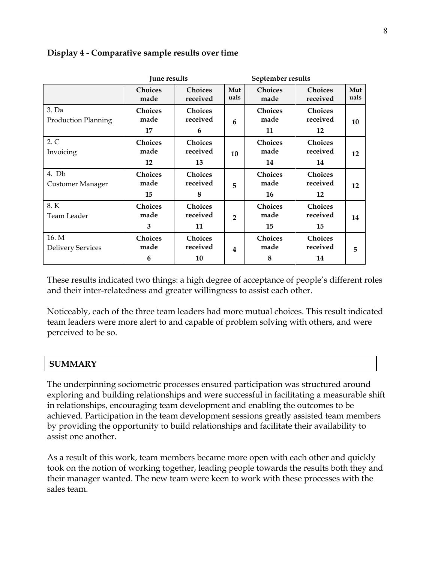|                                     | June results                 |                                  | September results       |                              |                                  |             |
|-------------------------------------|------------------------------|----------------------------------|-------------------------|------------------------------|----------------------------------|-------------|
|                                     | <b>Choices</b><br>made       | <b>Choices</b><br>received       | Mut<br>uals             | <b>Choices</b><br>made       | <b>Choices</b><br>received       | Mut<br>uals |
| 3. Da<br><b>Production Planning</b> | <b>Choices</b><br>made<br>17 | <b>Choices</b><br>received<br>6  | 6                       | <b>Choices</b><br>made<br>11 | <b>Choices</b><br>received<br>12 | 10          |
| 2. C<br>Invoicing                   | <b>Choices</b><br>made<br>12 | <b>Choices</b><br>received<br>13 | 10                      | <b>Choices</b><br>made<br>14 | <b>Choices</b><br>received<br>14 | 12          |
| 4. Db<br><b>Customer Manager</b>    | <b>Choices</b><br>made<br>15 | <b>Choices</b><br>received<br>8  | 5                       | <b>Choices</b><br>made<br>16 | <b>Choices</b><br>received<br>12 | 12          |
| 8.K<br>Team Leader                  | <b>Choices</b><br>made<br>3  | <b>Choices</b><br>received<br>11 | $\overline{2}$          | <b>Choices</b><br>made<br>15 | <b>Choices</b><br>received<br>15 | 14          |
| 16. M<br><b>Delivery Services</b>   | <b>Choices</b><br>made<br>6  | <b>Choices</b><br>received<br>10 | $\overline{\mathbf{4}}$ | <b>Choices</b><br>made<br>8  | <b>Choices</b><br>received<br>14 | 5           |

## Display 4 - Comparative sample results over time

These results indicated two things: a high degree of acceptance of people's different roles and their inter-relatedness and greater willingness to assist each other.

Noticeably, each of the three team leaders had more mutual choices. This result indicated team leaders were more alert to and capable of problem solving with others, and were perceived to be so.

## **SUMMARY**

The underpinning sociometric processes ensured participation was structured around exploring and building relationships and were successful in facilitating a measurable shift in relationships, encouraging team development and enabling the outcomes to be achieved. Participation in the team development sessions greatly assisted team members by providing the opportunity to build relationships and facilitate their availability to assist one another.

As a result of this work, team members became more open with each other and quickly took on the notion of working together, leading people towards the results both they and their manager wanted. The new team were keen to work with these processes with the sales team.